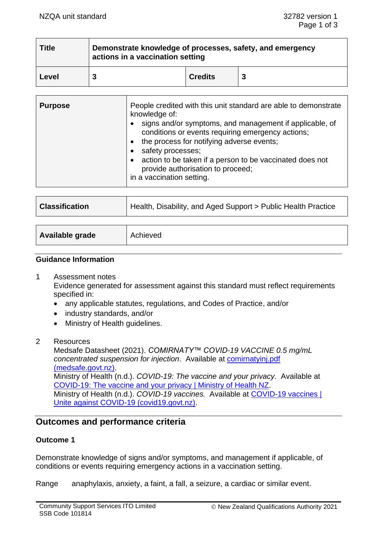| <b>Title</b> | Demonstrate knowledge of processes, safety, and emergency<br>actions in a vaccination setting |                |  |  |
|--------------|-----------------------------------------------------------------------------------------------|----------------|--|--|
| Level        |                                                                                               | <b>Credits</b> |  |  |

| <b>Purpose</b> | People credited with this unit standard are able to demonstrate<br>knowledge of:<br>signs and/or symptoms, and management if applicable, of<br>conditions or events requiring emergency actions;<br>the process for notifying adverse events;<br>safety processes;<br>action to be taken if a person to be vaccinated does not<br>provide authorisation to proceed;<br>in a vaccination setting. |
|----------------|--------------------------------------------------------------------------------------------------------------------------------------------------------------------------------------------------------------------------------------------------------------------------------------------------------------------------------------------------------------------------------------------------|
|----------------|--------------------------------------------------------------------------------------------------------------------------------------------------------------------------------------------------------------------------------------------------------------------------------------------------------------------------------------------------------------------------------------------------|

| <b>Classification</b> | Health, Disability, and Aged Support > Public Health Practice |  |
|-----------------------|---------------------------------------------------------------|--|
|                       |                                                               |  |
| Available grade       | Achieved                                                      |  |

#### **Guidance Information**

1 Assessment notes

Evidence generated for assessment against this standard must reflect requirements specified in:

- any applicable statutes, regulations, and Codes of Practice, and/or
- industry standards, and/or
- Ministry of Health guidelines.
- 2 Resources

Medsafe Datasheet (2021). *COMIRNATY™ COVID-19 VACCINE 0.5 mg/mL concentrated suspension for injection*. Available at [comirnatyinj.pdf](https://medsafe.govt.nz/Profs/datasheet/c/comirnatyinj.pdf)  [\(medsafe.govt.nz\).](https://medsafe.govt.nz/Profs/datasheet/c/comirnatyinj.pdf) Ministry of Health (n.d.). *COVID-19: The vaccine and your privacy.* Available at [COVID-19: The vaccine and your privacy | Ministry of Health NZ.](https://www.health.govt.nz/our-work/diseases-and-conditions/covid-19-novel-coronavirus/covid-19-vaccines/covid-19-getting-vaccine/covid-19-vaccine-and-your-privacy) Ministry of Health (n.d.). *COVID-19 vaccines.* Available at [COVID-19 vaccines |](https://covid19.govt.nz/health-and-wellbeing/covid-19-vaccines/?gclid=CjwKCAjwhYOFBhBkEiwASF3KGZiBjACj1I7nNLnNl80iEQiyok-UqbLuAExfTetzf6N_ltEbRUk9cRoChzsQAvD_BwE)  [Unite against COVID-19 \(covid19.govt.nz\).](https://covid19.govt.nz/health-and-wellbeing/covid-19-vaccines/?gclid=CjwKCAjwhYOFBhBkEiwASF3KGZiBjACj1I7nNLnNl80iEQiyok-UqbLuAExfTetzf6N_ltEbRUk9cRoChzsQAvD_BwE)

# **Outcomes and performance criteria**

## **Outcome 1**

Demonstrate knowledge of signs and/or symptoms, and management if applicable, of conditions or events requiring emergency actions in a vaccination setting.

Range anaphylaxis, anxiety, a faint, a fall, a seizure, a cardiac or similar event.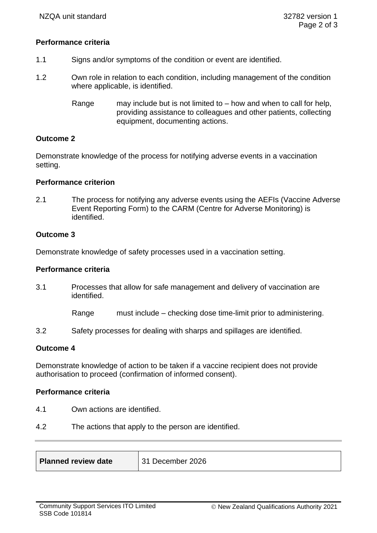## **Performance criteria**

- 1.1 Signs and/or symptoms of the condition or event are identified.
- 1.2 Own role in relation to each condition, including management of the condition where applicable, is identified.
	- Range may include but is not limited to how and when to call for help, providing assistance to colleagues and other patients, collecting equipment, documenting actions.

## **Outcome 2**

Demonstrate knowledge of the process for notifying adverse events in a vaccination setting.

#### **Performance criterion**

2.1 The process for notifying any adverse events using the AEFIs (Vaccine Adverse Event Reporting Form) to the CARM (Centre for Adverse Monitoring) is identified.

## **Outcome 3**

Demonstrate knowledge of safety processes used in a vaccination setting.

#### **Performance criteria**

3.1 Processes that allow for safe management and delivery of vaccination are identified.

Range must include – checking dose time-limit prior to administering.

3.2 Safety processes for dealing with sharps and spillages are identified.

## **Outcome 4**

Demonstrate knowledge of action to be taken if a vaccine recipient does not provide authorisation to proceed (confirmation of informed consent).

## **Performance criteria**

- 4.1 Own actions are identified.
- 4.2 The actions that apply to the person are identified.

| 31 December 2026<br><b>Planned review date</b> |  |
|------------------------------------------------|--|
|------------------------------------------------|--|